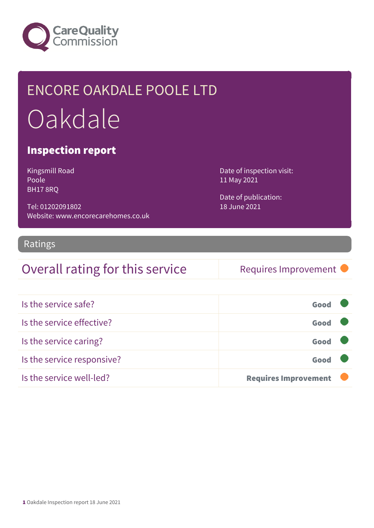

## ENCORE OAKDALE POOLE LTD Oakdale

#### Inspection report

Kingsmill Road Poole BH17 8RQ

Tel: 01202091802 Website: www.encorecarehomes.co.uk

#### Ratings

### Overall rating for this service Requires Improvement

Date of inspection visit:

Date of publication:

11 May 2021

18 June 2021

| Is the service safe?       | Good                        |  |
|----------------------------|-----------------------------|--|
| Is the service effective?  | Good                        |  |
| Is the service caring?     | Good                        |  |
| Is the service responsive? | Good                        |  |
| Is the service well-led?   | <b>Requires Improvement</b> |  |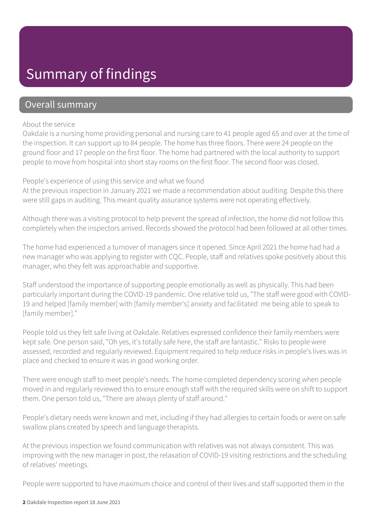### Summary of findings

#### Overall summary

#### About the service

Oakdale is a nursing home providing personal and nursing care to 41 people aged 65 and over at the time of the inspection. It can support up to 84 people. The home has three floors. There were 24 people on the ground floor and 17 people on the first floor. The home had partnered with the local authority to support people to move from hospital into short stay rooms on the first floor. The second floor was closed.

#### People's experience of using this service and what we found

At the previous inspection in January 2021 we made a recommendation about auditing. Despite this there were still gaps in auditing. This meant quality assurance systems were not operating effectively.

Although there was a visiting protocol to help prevent the spread of infection, the home did not follow this completely when the inspectors arrived. Records showed the protocol had been followed at all other times.

The home had experienced a turnover of managers since it opened. Since April 2021 the home had had a new manager who was applying to register with CQC. People, staff and relatives spoke positively about this manager, who they felt was approachable and supportive.

Staff understood the importance of supporting people emotionally as well as physically. This had been particularly important during the COVID-19 pandemic. One relative told us, "The staff were good with COVID-19 and helped [family member] with [family member's] anxiety and facilitated me being able to speak to [family member]."

People told us they felt safe living at Oakdale. Relatives expressed confidence their family members were kept safe. One person said, "Oh yes, it's totally safe here, the staff are fantastic." Risks to people were assessed, recorded and regularly reviewed. Equipment required to help reduce risks in people's lives was in place and checked to ensure it was in good working order.

There were enough staff to meet people's needs. The home completed dependency scoring when people moved in and regularly reviewed this to ensure enough staff with the required skills were on shift to support them. One person told us, "There are always plenty of staff around."

People's dietary needs were known and met, including if they had allergies to certain foods or were on safe swallow plans created by speech and language therapists.

At the previous inspection we found communication with relatives was not always consistent. This was improving with the new manager in post, the relaxation of COVID-19 visiting restrictions and the scheduling of relatives' meetings.

People were supported to have maximum choice and control of their lives and staff supported them in the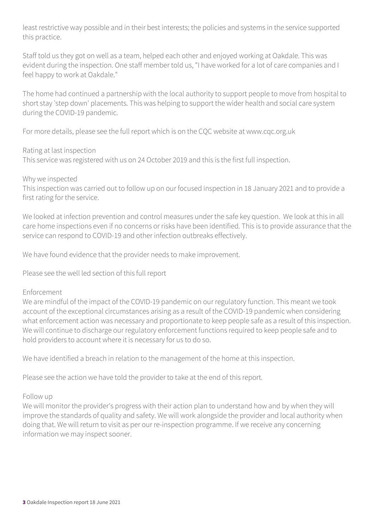least restrictive way possible and in their best interests; the policies and systems in the service supported this practice.

Staff told us they got on well as a team, helped each other and enjoyed working at Oakdale. This was evident during the inspection. One staff member told us, "I have worked for a lot of care companies and I feel happy to work at Oakdale."

The home had continued a partnership with the local authority to support people to move from hospital to short stay 'step down' placements. This was helping to support the wider health and social care system during the COVID-19 pandemic.

For more details, please see the full report which is on the CQC website at www.cqc.org.uk

Rating at last inspection

This service was registered with us on 24 October 2019 and this is the first full inspection.

Why we inspected

This inspection was carried out to follow up on our focused inspection in 18 January 2021 and to provide a first rating for the service.

We looked at infection prevention and control measures under the safe key question. We look at this in all care home inspections even if no concerns or risks have been identified. This is to provide assurance that the service can respond to COVID-19 and other infection outbreaks effectively.

We have found evidence that the provider needs to make improvement.

Please see the well led section of this full report

#### Enforcement

We are mindful of the impact of the COVID-19 pandemic on our regulatory function. This meant we took account of the exceptional circumstances arising as a result of the COVID-19 pandemic when considering what enforcement action was necessary and proportionate to keep people safe as a result of this inspection. We will continue to discharge our regulatory enforcement functions required to keep people safe and to hold providers to account where it is necessary for us to do so.

We have identified a breach in relation to the management of the home at this inspection.

Please see the action we have told the provider to take at the end of this report.

#### Follow up

We will monitor the provider's progress with their action plan to understand how and by when they will improve the standards of quality and safety. We will work alongside the provider and local authority when doing that. We will return to visit as per our re-inspection programme. If we receive any concerning information we may inspect sooner.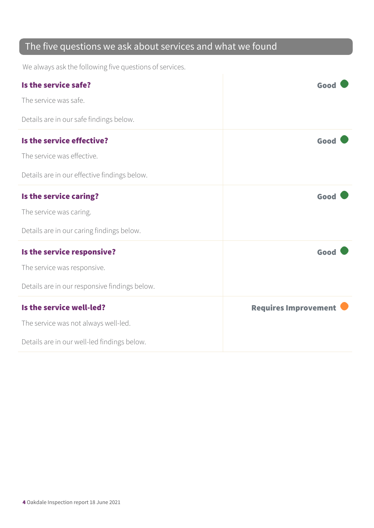### The five questions we ask about services and what we found

We always ask the following five questions of services.

| Is the service safe?                          | Good                        |
|-----------------------------------------------|-----------------------------|
| The service was safe.                         |                             |
| Details are in our safe findings below.       |                             |
| Is the service effective?                     | Good                        |
| The service was effective.                    |                             |
| Details are in our effective findings below.  |                             |
| Is the service caring?                        | Good                        |
| The service was caring.                       |                             |
| Details are in our caring findings below.     |                             |
| Is the service responsive?                    | Good                        |
| The service was responsive.                   |                             |
| Details are in our responsive findings below. |                             |
| Is the service well-led?                      | <b>Requires Improvement</b> |
| The service was not always well-led.          |                             |
| Details are in our well-led findings below.   |                             |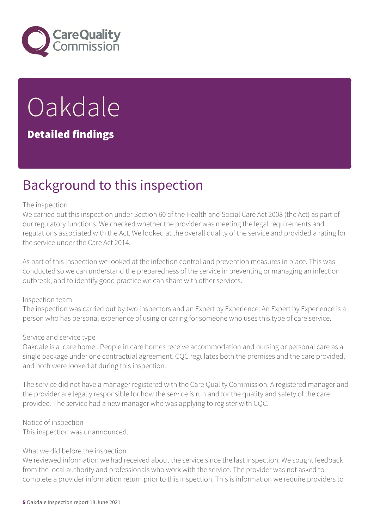

# **Oakdale**

#### Detailed findings

### Background to this inspection

#### The inspection

We carried out this inspection under Section 60 of the Health and Social Care Act 2008 (the Act) as part of our regulatory functions. We checked whether the provider was meeting the legal requirements and regulations associated with the Act. We looked at the overall quality of the service and provided a rating for the service under the Care Act 2014.

As part of this inspection we looked at the infection control and prevention measures in place. This was conducted so we can understand the preparedness of the service in preventing or managing an infection outbreak, and to identify good practice we can share with other services.

#### Inspection team

The inspection was carried out by two inspectors and an Expert by Experience. An Expert by Experience is a person who has personal experience of using or caring for someone who uses this type of care service.

#### Service and service type

Oakdale is a 'care home'. People in care homes receive accommodation and nursing or personal care as a single package under one contractual agreement. CQC regulates both the premises and the care provided, and both were looked at during this inspection.

The service did not have a manager registered with the Care Quality Commission. A registered manager and the provider are legally responsible for how the service is run and for the quality and safety of the care provided. The service had a new manager who was applying to register with CQC.

Notice of inspection

This inspection was unannounced.

#### What we did before the inspection

We reviewed information we had received about the service since the last inspection. We sought feedback from the local authority and professionals who work with the service. The provider was not asked to complete a provider information return prior to this inspection. This is information we require providers to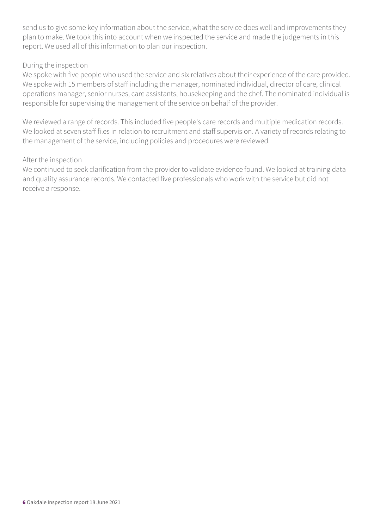send us to give some key information about the service, what the service does well and improvements they plan to make. We took this into account when we inspected the service and made the judgements in this report. We used all of this information to plan our inspection.

#### During the inspection

We spoke with five people who used the service and six relatives about their experience of the care provided. We spoke with 15 members of staff including the manager, nominated individual, director of care, clinical operations manager, senior nurses, care assistants, housekeeping and the chef. The nominated individual is responsible for supervising the management of the service on behalf of the provider.

We reviewed a range of records. This included five people's care records and multiple medication records. We looked at seven staff files in relation to recruitment and staff supervision. A variety of records relating to the management of the service, including policies and procedures were reviewed.

#### After the inspection

We continued to seek clarification from the provider to validate evidence found. We looked at training data and quality assurance records. We contacted five professionals who work with the service but did not receive a response.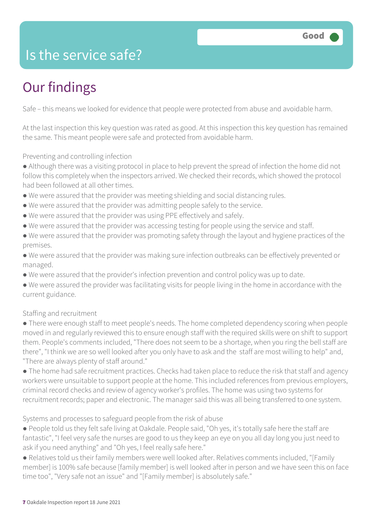### Is the service safe?

### Our findings

Safe – this means we looked for evidence that people were protected from abuse and avoidable harm.

At the last inspection this key question was rated as good. At this inspection this key question has remained the same. This meant people were safe and protected from avoidable harm.

Preventing and controlling infection

● Although there was a visiting protocol in place to help prevent the spread of infection the home did not follow this completely when the inspectors arrived. We checked their records, which showed the protocol had been followed at all other times.

- We were assured that the provider was meeting shielding and social distancing rules.
- We were assured that the provider was admitting people safely to the service.
- We were assured that the provider was using PPE effectively and safely.
- We were assured that the provider was accessing testing for people using the service and staff.
- We were assured that the provider was promoting safety through the layout and hygiene practices of the premises.
- We were assured that the provider was making sure infection outbreaks can be effectively prevented or managed.
- We were assured that the provider's infection prevention and control policy was up to date.
- We were assured the provider was facilitating visits for people living in the home in accordance with the current guidance.

Staffing and recruitment

● There were enough staff to meet people's needs. The home completed dependency scoring when people moved in and regularly reviewed this to ensure enough staff with the required skills were on shift to support them. People's comments included, "There does not seem to be a shortage, when you ring the bell staff are there", "I think we are so well looked after you only have to ask and the staff are most willing to help" and, "There are always plenty of staff around."

● The home had safe recruitment practices. Checks had taken place to reduce the risk that staff and agency workers were unsuitable to support people at the home. This included references from previous employers, criminal record checks and review of agency worker's profiles. The home was using two systems for recruitment records; paper and electronic. The manager said this was all being transferred to one system.

Systems and processes to safeguard people from the risk of abuse

● People told us they felt safe living at Oakdale. People said, "Oh yes, it's totally safe here the staff are fantastic", "I feel very safe the nurses are good to us they keep an eye on you all day long you just need to ask if you need anything" and "Oh yes, I feel really safe here."

● Relatives told us their family members were well looked after. Relatives comments included, "[Family member] is 100% safe because [family member] is well looked after in person and we have seen this on face time too", "Very safe not an issue" and "[Family member] is absolutely safe."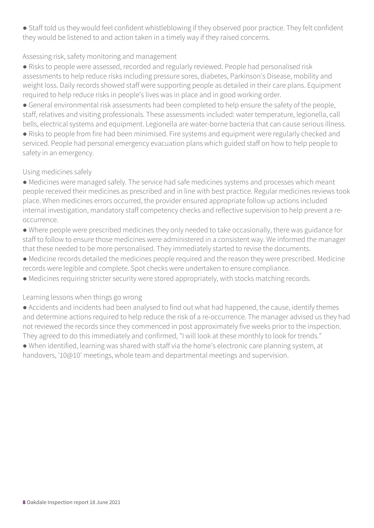● Staff told us they would feel confident whistleblowing if they observed poor practice. They felt confident they would be listened to and action taken in a timely way if they raised concerns.

#### Assessing risk, safety monitoring and management

● Risks to people were assessed, recorded and regularly reviewed. People had personalised risk assessments to help reduce risks including pressure sores, diabetes, Parkinson's Disease, mobility and weight loss. Daily records showed staff were supporting people as detailed in their care plans. Equipment required to help reduce risks in people's lives was in place and in good working order.

● General environmental risk assessments had been completed to help ensure the safety of the people, staff, relatives and visiting professionals. These assessments included: water temperature, legionella, call bells, electrical systems and equipment. Legionella are water-borne bacteria that can cause serious illness.

● Risks to people from fire had been minimised. Fire systems and equipment were regularly checked and serviced. People had personal emergency evacuation plans which guided staff on how to help people to safety in an emergency.

#### Using medicines safely

● Medicines were managed safely. The service had safe medicines systems and processes which meant people received their medicines as prescribed and in line with best practice. Regular medicines reviews took place. When medicines errors occurred, the provider ensured appropriate follow up actions included internal investigation, mandatory staff competency checks and reflective supervision to help prevent a reoccurrence.

● Where people were prescribed medicines they only needed to take occasionally, there was guidance for staff to follow to ensure those medicines were administered in a consistent way. We informed the manager that these needed to be more personalised. They immediately started to revise the documents.

● Medicine records detailed the medicines people required and the reason they were prescribed. Medicine records were legible and complete. Spot checks were undertaken to ensure compliance.

● Medicines requiring stricter security were stored appropriately, with stocks matching records.

#### Learning lessons when things go wrong

● Accidents and incidents had been analysed to find out what had happened, the cause, identify themes and determine actions required to help reduce the risk of a re-occurrence. The manager advised us they had not reviewed the records since they commenced in post approximately five weeks prior to the inspection. They agreed to do this immediately and confirmed, "I will look at these monthly to look for trends."

● When identified, learning was shared with staff via the home's electronic care planning system, at handovers, '10@10' meetings, whole team and departmental meetings and supervision.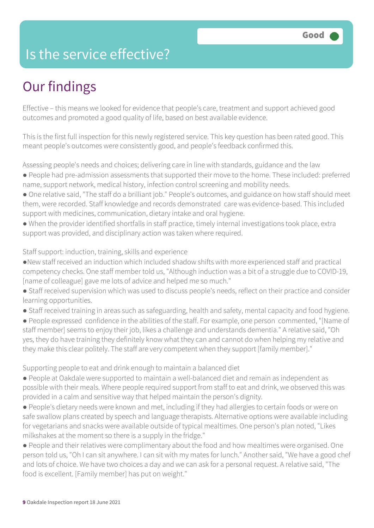### Is the service effective?

### Our findings

Effective – this means we looked for evidence that people's care, treatment and support achieved good outcomes and promoted a good quality of life, based on best available evidence.

This is the first full inspection for this newly registered service. This key question has been rated good. This meant people's outcomes were consistently good, and people's feedback confirmed this.

Assessing people's needs and choices; delivering care in line with standards, guidance and the law ● People had pre-admission assessments that supported their move to the home. These included: preferred name, support network, medical history, infection control screening and mobility needs.

- One relative said, "The staff do a brilliant job." People's outcomes, and guidance on how staff should meet them, were recorded. Staff knowledge and records demonstrated care was evidence-based. This included support with medicines, communication, dietary intake and oral hygiene.
- When the provider identified shortfalls in staff practice, timely internal investigations took place, extra support was provided, and disciplinary action was taken where required.

Staff support: induction, training, skills and experience

- ●New staff received an induction which included shadow shifts with more experienced staff and practical competency checks. One staff member told us, "Although induction was a bit of a struggle due to COVID-19, [name of colleague] gave me lots of advice and helped me so much."
- Staff received supervision which was used to discuss people's needs, reflect on their practice and consider learning opportunities.
- Staff received training in areas such as safeguarding, health and safety, mental capacity and food hygiene.

● People expressed confidence in the abilities of the staff. For example, one person commented, "[Name of staff member] seems to enjoy their job, likes a challenge and understands dementia." A relative said, "Oh yes, they do have training they definitely know what they can and cannot do when helping my relative and they make this clear politely. The staff are very competent when they support [family member]."

Supporting people to eat and drink enough to maintain a balanced diet

- People at Oakdale were supported to maintain a well-balanced diet and remain as independent as possible with their meals. Where people required support from staff to eat and drink, we observed this was provided in a calm and sensitive way that helped maintain the person's dignity.
- People's dietary needs were known and met, including if they had allergies to certain foods or were on safe swallow plans created by speech and language therapists. Alternative options were available including for vegetarians and snacks were available outside of typical mealtimes. One person's plan noted, "Likes milkshakes at the moment so there is a supply in the fridge."
- People and their relatives were complimentary about the food and how mealtimes were organised. One person told us, "Oh I can sit anywhere. I can sit with my mates for lunch." Another said, "We have a good chef and lots of choice. We have two choices a day and we can ask for a personal request. A relative said, "The food is excellent. [Family member] has put on weight."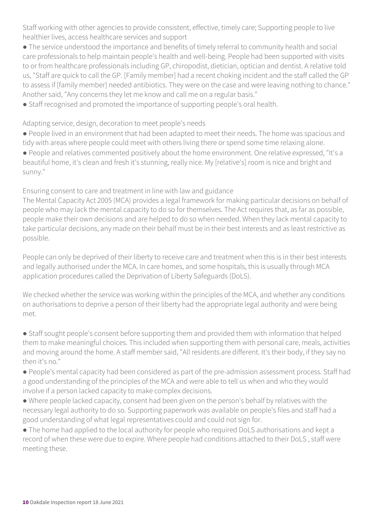Staff working with other agencies to provide consistent, effective, timely care; Supporting people to live healthier lives, access healthcare services and support

● The service understood the importance and benefits of timely referral to community health and social care professionals to help maintain people's health and well-being. People had been supported with visits to or from healthcare professionals including GP, chiropodist, dietician, optician and dentist. A relative told us, "Staff are quick to call the GP. [Family member] had a recent choking incident and the staff called the GP to assess if [family member] needed antibiotics. They were on the case and were leaving nothing to chance." Another said, "Any concerns they let me know and call me on a regular basis."

● Staff recognised and promoted the importance of supporting people's oral health.

Adapting service, design, decoration to meet people's needs

● People lived in an environment that had been adapted to meet their needs. The home was spacious and tidy with areas where people could meet with others living there or spend some time relaxing alone.

● People and relatives commented positively about the home environment. One relative expressed, "It's a beautiful home, it's clean and fresh it's stunning, really nice. My [relative's] room is nice and bright and sunny."

Ensuring consent to care and treatment in line with law and guidance

The Mental Capacity Act 2005 (MCA) provides a legal framework for making particular decisions on behalf of people who may lack the mental capacity to do so for themselves. The Act requires that, as far as possible, people make their own decisions and are helped to do so when needed. When they lack mental capacity to take particular decisions, any made on their behalf must be in their best interests and as least restrictive as possible.

People can only be deprived of their liberty to receive care and treatment when this is in their best interests and legally authorised under the MCA. In care homes, and some hospitals, this is usually through MCA application procedures called the Deprivation of Liberty Safeguards (DoLS).

We checked whether the service was working within the principles of the MCA, and whether any conditions on authorisations to deprive a person of their liberty had the appropriate legal authority and were being met.

● Staff sought people's consent before supporting them and provided them with information that helped them to make meaningful choices. This included when supporting them with personal care, meals, activities and moving around the home. A staff member said, "All residents are different. It's their body, if they say no then it's no."

● People's mental capacity had been considered as part of the pre-admission assessment process. Staff had a good understanding of the principles of the MCA and were able to tell us when and who they would involve if a person lacked capacity to make complex decisions.

● Where people lacked capacity, consent had been given on the person's behalf by relatives with the necessary legal authority to do so. Supporting paperwork was available on people's files and staff had a good understanding of what legal representatives could and could not sign for.

● The home had applied to the local authority for people who required DoLS authorisations and kept a record of when these were due to expire. Where people had conditions attached to their DoLS , staff were meeting these.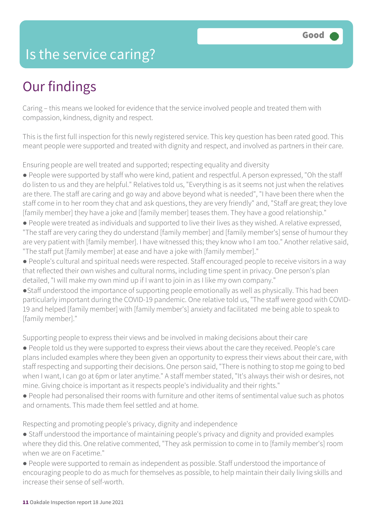### Is the service caring?

### Our findings

Caring – this means we looked for evidence that the service involved people and treated them with compassion, kindness, dignity and respect.

This is the first full inspection for this newly registered service. This key question has been rated good. This meant people were supported and treated with dignity and respect, and involved as partners in their care.

Ensuring people are well treated and supported; respecting equality and diversity

- People were supported by staff who were kind, patient and respectful. A person expressed, "Oh the staff do listen to us and they are helpful." Relatives told us, "Everything is as it seems not just when the relatives are there. The staff are caring and go way and above beyond what is needed", "I have been there when the staff come in to her room they chat and ask questions, they are very friendly" and, "Staff are great; they love [family member] they have a joke and [family member] teases them. They have a good relationship."
- People were treated as individuals and supported to live their lives as they wished. A relative expressed, "The staff are very caring they do understand [family member] and [family member's] sense of humour they are very patient with [family member]. I have witnessed this; they know who I am too." Another relative said, "The staff put [family member] at ease and have a joke with [family member]."
- People's cultural and spiritual needs were respected. Staff encouraged people to receive visitors in a way that reflected their own wishes and cultural norms, including time spent in privacy. One person's plan detailed, "I will make my own mind up if I want to join in as I like my own company."
- ●Staff understood the importance of supporting people emotionally as well as physically. This had been particularly important during the COVID-19 pandemic. One relative told us, "The staff were good with COVID-19 and helped [family member] with [family member's] anxiety and facilitated me being able to speak to [family member]."

Supporting people to express their views and be involved in making decisions about their care

- People told us they were supported to express their views about the care they received. People's care plans included examples where they been given an opportunity to express their views about their care, with staff respecting and supporting their decisions. One person said, "There is nothing to stop me going to bed when I want, I can go at 6pm or later anytime." A staff member stated, "It's always their wish or desires, not mine. Giving choice is important as it respects people's individuality and their rights."
- People had personalised their rooms with furniture and other items of sentimental value such as photos and ornaments. This made them feel settled and at home.

Respecting and promoting people's privacy, dignity and independence

- Staff understood the importance of maintaining people's privacy and dignity and provided examples where they did this. One relative commented, "They ask permission to come in to [family member's] room when we are on Facetime."
- People were supported to remain as independent as possible. Staff understood the importance of encouraging people to do as much for themselves as possible, to help maintain their daily living skills and increase their sense of self-worth.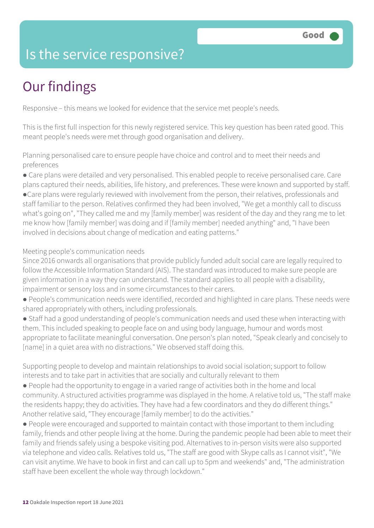### Is the service responsive?

### Our findings

Responsive – this means we looked for evidence that the service met people's needs.

This is the first full inspection for this newly registered service. This key question has been rated good. This meant people's needs were met through good organisation and delivery.

Planning personalised care to ensure people have choice and control and to meet their needs and preferences

● Care plans were detailed and very personalised. This enabled people to receive personalised care. Care plans captured their needs, abilities, life history, and preferences. These were known and supported by staff. ●Care plans were regularly reviewed with involvement from the person, their relatives, professionals and staff familiar to the person. Relatives confirmed they had been involved, "We get a monthly call to discuss what's going on", "They called me and my [family member] was resident of the day and they rang me to let me know how [family member] was doing and if [family member] needed anything" and, "I have been involved in decisions about change of medication and eating patterns."

Meeting people's communication needs

Since 2016 onwards all organisations that provide publicly funded adult social care are legally required to follow the Accessible Information Standard (AIS). The standard was introduced to make sure people are given information in a way they can understand. The standard applies to all people with a disability, impairment or sensory loss and in some circumstances to their carers.

- People's communication needs were identified, recorded and highlighted in care plans. These needs were shared appropriately with others, including professionals.
- Staff had a good understanding of people's communication needs and used these when interacting with them. This included speaking to people face on and using body language, humour and words most appropriate to facilitate meaningful conversation. One person's plan noted, "Speak clearly and concisely to [name] in a quiet area with no distractions." We observed staff doing this.

Supporting people to develop and maintain relationships to avoid social isolation; support to follow interests and to take part in activities that are socially and culturally relevant to them

- People had the opportunity to engage in a varied range of activities both in the home and local community. A structured activities programme was displayed in the home. A relative told us, "The staff make the residents happy; they do activities. They have had a few coordinators and they do different things." Another relative said, "They encourage [family member] to do the activities."
- People were encouraged and supported to maintain contact with those important to them including family, friends and other people living at the home. During the pandemic people had been able to meet their family and friends safely using a bespoke visiting pod. Alternatives to in-person visits were also supported via telephone and video calls. Relatives told us, "The staff are good with Skype calls as I cannot visit", "We can visit anytime. We have to book in first and can call up to 5pm and weekends" and, "The administration staff have been excellent the whole way through lockdown."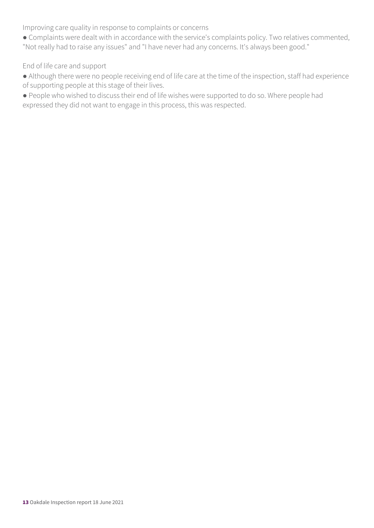Improving care quality in response to complaints or concerns

● Complaints were dealt with in accordance with the service's complaints policy. Two relatives commented, "Not really had to raise any issues" and "I have never had any concerns. It's always been good."

End of life care and support

- Although there were no people receiving end of life care at the time of the inspection, staff had experience of supporting people at this stage of their lives.
- People who wished to discuss their end of life wishes were supported to do so. Where people had expressed they did not want to engage in this process, this was respected.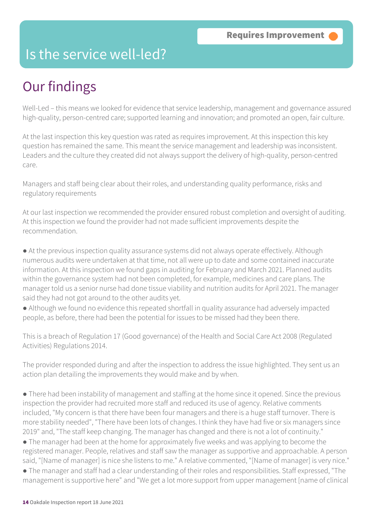### Is the service well-led?

### Our findings

Well-Led – this means we looked for evidence that service leadership, management and governance assured high-quality, person-centred care; supported learning and innovation; and promoted an open, fair culture.

At the last inspection this key question was rated as requires improvement. At this inspection this key question has remained the same. This meant the service management and leadership was inconsistent. Leaders and the culture they created did not always support the delivery of high-quality, person-centred care.

Managers and staff being clear about their roles, and understanding quality performance, risks and regulatory requirements

At our last inspection we recommended the provider ensured robust completion and oversight of auditing. At this inspection we found the provider had not made sufficient improvements despite the recommendation.

● At the previous inspection quality assurance systems did not always operate effectively. Although numerous audits were undertaken at that time, not all were up to date and some contained inaccurate information. At this inspection we found gaps in auditing for February and March 2021. Planned audits within the governance system had not been completed, for example, medicines and care plans. The manager told us a senior nurse had done tissue viability and nutrition audits for April 2021. The manager said they had not got around to the other audits yet.

● Although we found no evidence this repeated shortfall in quality assurance had adversely impacted people, as before, there had been the potential for issues to be missed had they been there.

This is a breach of Regulation 17 (Good governance) of the Health and Social Care Act 2008 (Regulated Activities) Regulations 2014.

The provider responded during and after the inspection to address the issue highlighted. They sent us an action plan detailing the improvements they would make and by when.

● There had been instability of management and staffing at the home since it opened. Since the previous inspection the provider had recruited more staff and reduced its use of agency. Relative comments included, "My concern is that there have been four managers and there is a huge staff turnover. There is more stability needed", "There have been lots of changes. I think they have had five or six managers since 2019" and, "The staff keep changing. The manager has changed and there is not a lot of continuity."

• The manager had been at the home for approximately five weeks and was applying to become the registered manager. People, relatives and staff saw the manager as supportive and approachable. A person said, "[Name of manager] is nice she listens to me." A relative commented, "[Name of manager] is very nice."

● The manager and staff had a clear understanding of their roles and responsibilities. Staff expressed, "The management is supportive here" and "We get a lot more support from upper management [name of clinical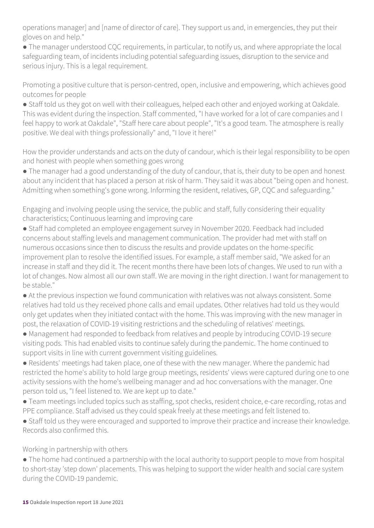operations manager] and [name of director of care]. They support us and, in emergencies, they put their gloves on and help."

● The manager understood CQC requirements, in particular, to notify us, and where appropriate the local safeguarding team, of incidents including potential safeguarding issues, disruption to the service and serious injury. This is a legal requirement.

Promoting a positive culture that is person-centred, open, inclusive and empowering, which achieves good outcomes for people

● Staff told us they got on well with their colleagues, helped each other and enjoyed working at Oakdale. This was evident during the inspection. Staff commented, "I have worked for a lot of care companies and I feel happy to work at Oakdale", "Staff here care about people", "It's a good team. The atmosphere is really positive. We deal with things professionally" and, "I love it here!"

How the provider understands and acts on the duty of candour, which is their legal responsibility to be open and honest with people when something goes wrong

• The manager had a good understanding of the duty of candour, that is, their duty to be open and honest about any incident that has placed a person at risk of harm. They said it was about "being open and honest. Admitting when something's gone wrong. Informing the resident, relatives, GP, CQC and safeguarding."

Engaging and involving people using the service, the public and staff, fully considering their equality characteristics; Continuous learning and improving care

● Staff had completed an employee engagement survey in November 2020. Feedback had included concerns about staffing levels and management communication. The provider had met with staff on numerous occasions since then to discuss the results and provide updates on the home-specific improvement plan to resolve the identified issues. For example, a staff member said, "We asked for an increase in staff and they did it. The recent months there have been lots of changes. We used to run with a lot of changes. Now almost all our own staff. We are moving in the right direction. I want for management to be stable."

● At the previous inspection we found communication with relatives was not always consistent. Some relatives had told us they received phone calls and email updates. Other relatives had told us they would only get updates when they initiated contact with the home. This was improving with the new manager in post, the relaxation of COVID-19 visiting restrictions and the scheduling of relatives' meetings.

● Management had responded to feedback from relatives and people by introducing COVID-19 secure visiting pods. This had enabled visits to continue safely during the pandemic. The home continued to support visits in line with current government visiting guidelines.

● Residents' meetings had taken place, one of these with the new manager. Where the pandemic had restricted the home's ability to hold large group meetings, residents' views were captured during one to one activity sessions with the home's wellbeing manager and ad hoc conversations with the manager. One person told us, "I feel listened to. We are kept up to date."

● Team meetings included topics such as staffing, spot checks, resident choice, e-care recording, rotas and PPE compliance. Staff advised us they could speak freely at these meetings and felt listened to.

● Staff told us they were encouraged and supported to improve their practice and increase their knowledge. Records also confirmed this.

Working in partnership with others

● The home had continued a partnership with the local authority to support people to move from hospital to short-stay 'step down' placements. This was helping to support the wider health and social care system during the COVID-19 pandemic.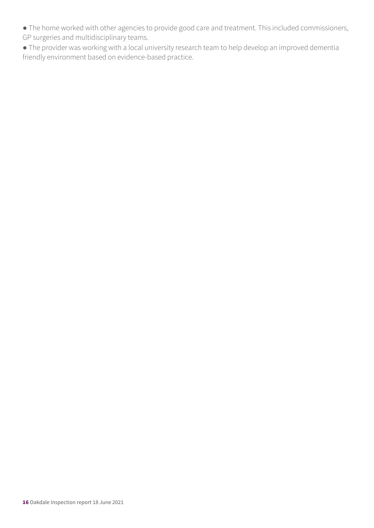- The home worked with other agencies to provide good care and treatment. This included commissioners, GP surgeries and multidisciplinary teams.
- The provider was working with a local university research team to help develop an improved dementia friendly environment based on evidence-based practice.